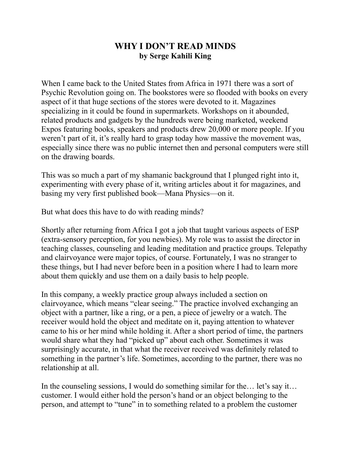## **WHY I DON'T READ MINDS by Serge Kahili King**

When I came back to the United States from Africa in 1971 there was a sort of Psychic Revolution going on. The bookstores were so flooded with books on every aspect of it that huge sections of the stores were devoted to it. Magazines specializing in it could be found in supermarkets. Workshops on it abounded, related products and gadgets by the hundreds were being marketed, weekend Expos featuring books, speakers and products drew 20,000 or more people. If you weren't part of it, it's really hard to grasp today how massive the movement was, especially since there was no public internet then and personal computers were still on the drawing boards.

This was so much a part of my shamanic background that I plunged right into it, experimenting with every phase of it, writing articles about it for magazines, and basing my very first published book—Mana Physics—on it.

But what does this have to do with reading minds?

Shortly after returning from Africa I got a job that taught various aspects of ESP (extra-sensory perception, for you newbies). My role was to assist the director in teaching classes, counseling and leading meditation and practice groups. Telepathy and clairvoyance were major topics, of course. Fortunately, I was no stranger to these things, but I had never before been in a position where I had to learn more about them quickly and use them on a daily basis to help people.

In this company, a weekly practice group always included a section on clairvoyance, which means "clear seeing." The practice involved exchanging an object with a partner, like a ring, or a pen, a piece of jewelry or a watch. The receiver would hold the object and meditate on it, paying attention to whatever came to his or her mind while holding it. After a short period of time, the partners would share what they had "picked up" about each other. Sometimes it was surprisingly accurate, in that what the receiver received was definitely related to something in the partner's life. Sometimes, according to the partner, there was no relationship at all.

In the counseling sessions, I would do something similar for the… let's say it… customer. I would either hold the person's hand or an object belonging to the person, and attempt to "tune" in to something related to a problem the customer